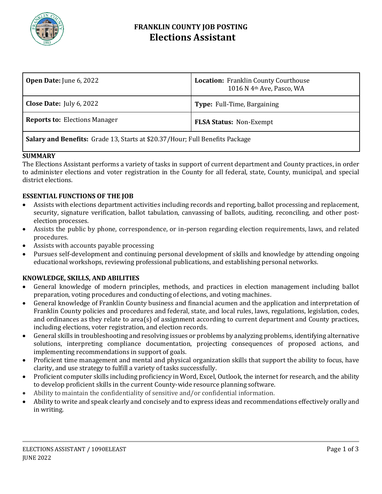

## **FRANKLIN COUNTY JOB POSTING Elections Assistant**

| <b>Open Date:</b> June 6, 2022                                                 | <b>Location: Franklin County Courthouse</b><br>1016 N 4th Ave, Pasco, WA |
|--------------------------------------------------------------------------------|--------------------------------------------------------------------------|
| <b>Close Date:</b> July 6, 2022                                                | Type: Full-Time, Bargaining                                              |
| <b>Reports to: Elections Manager</b>                                           | <b>FLSA Status: Non-Exempt</b>                                           |
| Colory and Donofita: Crade 12, Starte at \$20.27 (Hour, Eul) Denofita Declared |                                                                          |

**Salary and Benefits:** Grade 13, Starts at \$20.37/Hour; Full Benefits Package

## **SUMMARY**

The Elections Assistant performs a variety of tasks in support of current department and County practices, in order to administer elections and voter registration in the County for all federal, state, County, municipal, and special district elections.

## **ESSENTIAL FUNCTIONS OF THE JOB**

- Assists with elections department activities including records and reporting, ballot processing and replacement, security, signature verification, ballot tabulation, canvassing of ballots, auditing, reconciling, and other postelection processes.
- Assists the public by phone, correspondence, or in-person regarding election requirements, laws, and related procedures.
- Assists with accounts payable processing
- Pursues self-development and continuing personal development of skills and knowledge by attending ongoing educational workshops, reviewing professional publications, and establishing personal networks.

## **KNOWLEDGE, SKILLS, AND ABILITIES**

- General knowledge of modern principles, methods, and practices in election management including ballot preparation, voting procedures and conducting of elections, and voting machines.
- General knowledge of Franklin County business and financial acumen and the application and interpretation of Franklin County policies and procedures and federal, state, and local rules, laws, regulations, legislation, codes, and ordinances as they relate to area(s) of assignment according to current department and County practices, including elections, voter registration, and election records.
- General skills in troubleshooting and resolving issues or problems by analyzing problems, identifying alternative solutions, interpreting compliance documentation, projecting consequences of proposed actions, and implementing recommendations in support of goals.
- Proficient time management and mental and physical organization skills that support the ability to focus, have clarity, and use strategy to fulfill a variety of tasks successfully.
- Proficient computer skills including proficiency in Word, Excel, Outlook, the internet for research, and the ability to develop proficient skills in the current County-wide resource planning software.
- Ability to maintain the confidentiality of sensitive and/or confidential information.
- Ability to write and speak clearly and concisely and to express ideas and recommendations effectively orally and in writing.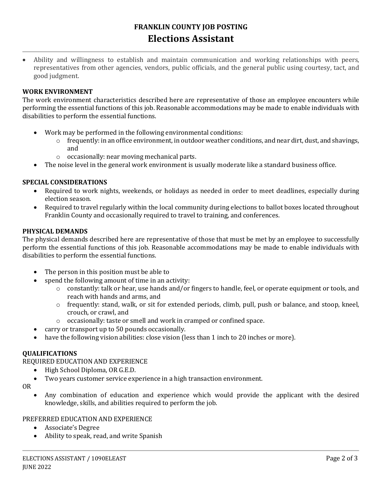# **FRANKLIN COUNTY JOB POSTING Elections Assistant**

• Ability and willingness to establish and maintain communication and working relationships with peers, representatives from other agencies, vendors, public officials, and the general public using courtesy, tact, and good judgment.

#### **WORK ENVIRONMENT**

The work environment characteristics described here are representative of those an employee encounters while performing the essential functions of this job. Reasonable accommodations may be made to enable individuals with disabilities to perform the essential functions.

- Work may be performed in the following environmental conditions:
	- o frequently: in an office environment, in outdoor weather conditions, and near dirt, dust, and shavings, and
	- o occasionally: near moving mechanical parts.
- The noise level in the general work environment is usually moderate like a standard business office.

#### **SPECIAL CONSIDERATIONS**

- Required to work nights, weekends, or holidays as needed in order to meet deadlines, especially during election season.
- Required to travel regularly within the local community during elections to ballot boxes located throughout Franklin County and occasionally required to travel to training, and conferences.

#### **PHYSICAL DEMANDS**

The physical demands described here are representative of those that must be met by an employee to successfully perform the essential functions of this job. Reasonable accommodations may be made to enable individuals with disabilities to perform the essential functions.

- The person in this position must be able to
- spend the following amount of time in an activity:
	- o constantly: talk or hear, use hands and/or fingers to handle, feel, or operate equipment or tools, and reach with hands and arms, and
	- $\circ$  frequently: stand, walk, or sit for extended periods, climb, pull, push or balance, and stoop, kneel, crouch, or crawl, and
	- o occasionally: taste or smell and work in cramped or confined space.
- carry or transport up to 50 pounds occasionally.
- have the following vision abilities: close vision (less than 1 inch to 20 inches or more).

#### **QUALIFICATIONS**

REQUIRED EDUCATION AND EXPERIENCE

- High School Diploma, OR G.E.D.
- Two years customer service experience in a high transaction environment.

OR

• Any combination of education and experience which would provide the applicant with the desired knowledge, skills, and abilities required to perform the job.

#### PREFERRED EDUCATION AND EXPERIENCE

- Associate's Degree
- Ability to speak, read, and write Spanish